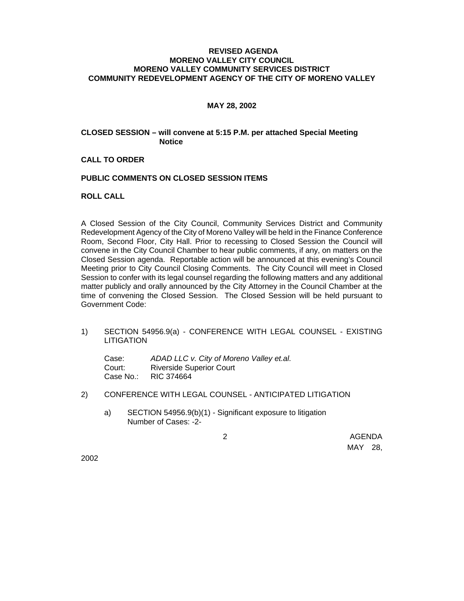## **REVISED AGENDA MORENO VALLEY CITY COUNCIL MORENO VALLEY COMMUNITY SERVICES DISTRICT COMMUNITY REDEVELOPMENT AGENCY OF THE CITY OF MORENO VALLEY**

### **MAY 28, 2002**

# **CLOSED SESSION – will convene at 5:15 P.M. per attached Special Meeting Notice**

### **CALL TO ORDER**

### **PUBLIC COMMENTS ON CLOSED SESSION ITEMS**

# **ROLL CALL**

A Closed Session of the City Council, Community Services District and Community Redevelopment Agency of the City of Moreno Valley will be held in the Finance Conference Room, Second Floor, City Hall. Prior to recessing to Closed Session the Council will convene in the City Council Chamber to hear public comments, if any, on matters on the Closed Session agenda. Reportable action will be announced at this evening's Council Meeting prior to City Council Closing Comments. The City Council will meet in Closed Session to confer with its legal counsel regarding the following matters and any additional matter publicly and orally announced by the City Attorney in the Council Chamber at the time of convening the Closed Session. The Closed Session will be held pursuant to Government Code:

1) SECTION 54956.9(a) - CONFERENCE WITH LEGAL COUNSEL - EXISTING LITIGATION

Case: *ADAD LLC v. City of Moreno Valley et.al.* Court: Riverside Superior Court Case No.: RIC 374664

- 2) CONFERENCE WITH LEGAL COUNSEL ANTICIPATED LITIGATION
	- a) SECTION 54956.9(b)(1) Significant exposure to litigation Number of Cases: -2-

 2 AGENDA MAY 28,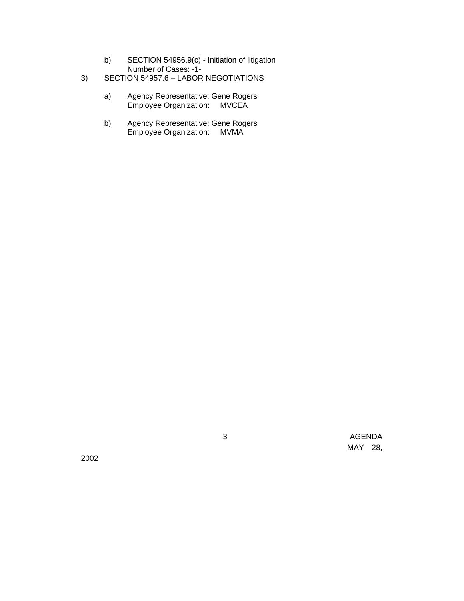- b) SECTION 54956.9(c) Initiation of litigation Number of Cases: -1-
- 3) SECTION 54957.6 LABOR NEGOTIATIONS
	- a) Agency Representative: Gene Rogers Employee Organization: MVCEA
	- b) Agency Representative: Gene Rogers Employee Organization: MVMA

2002

 3 AGENDA MAY 28,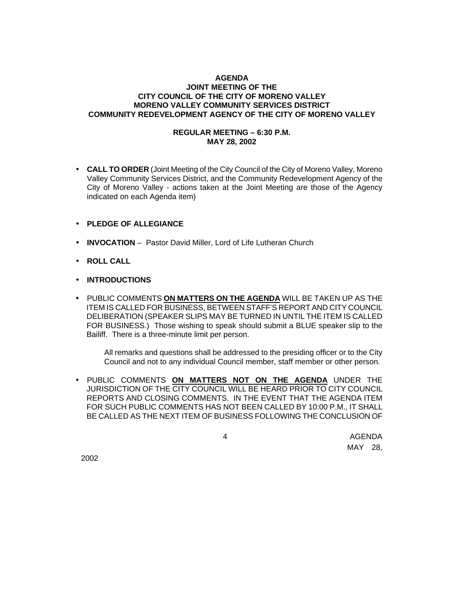# **AGENDA JOINT MEETING OF THE CITY COUNCIL OF THE CITY OF MORENO VALLEY MORENO VALLEY COMMUNITY SERVICES DISTRICT COMMUNITY REDEVELOPMENT AGENCY OF THE CITY OF MORENO VALLEY**

# **REGULAR MEETING – 6:30 P.M. MAY 28, 2002**

• **CALL TO ORDER** (Joint Meeting of the City Council of the City of Moreno Valley, Moreno Valley Community Services District, and the Community Redevelopment Agency of the City of Moreno Valley - actions taken at the Joint Meeting are those of the Agency indicated on each Agenda item)

# • **PLEDGE OF ALLEGIANCE**

- **INVOCATION** Pastor David Miller, Lord of Life Lutheran Church
- **ROLL CALL**
- **INTRODUCTIONS**
- PUBLIC COMMENTS **ON MATTERS ON THE AGENDA** WILL BE TAKEN UP AS THE ITEM IS CALLED FOR BUSINESS, BETWEEN STAFF'S REPORT AND CITY COUNCIL DELIBERATION (SPEAKER SLIPS MAY BE TURNED IN UNTIL THE ITEM IS CALLED FOR BUSINESS.) Those wishing to speak should submit a BLUE speaker slip to the Bailiff. There is a three-minute limit per person.

All remarks and questions shall be addressed to the presiding officer or to the City Council and not to any individual Council member, staff member or other person.

• PUBLIC COMMENTS **ON MATTERS NOT ON THE AGENDA** UNDER THE JURISDICTION OF THE CITY COUNCIL WILL BE HEARD PRIOR TO CITY COUNCIL REPORTS AND CLOSING COMMENTS. IN THE EVENT THAT THE AGENDA ITEM FOR SUCH PUBLIC COMMENTS HAS NOT BEEN CALLED BY 10:00 P.M., IT SHALL BE CALLED AS THE NEXT ITEM OF BUSINESS FOLLOWING THE CONCLUSION OF

 4 AGENDA MAY 28,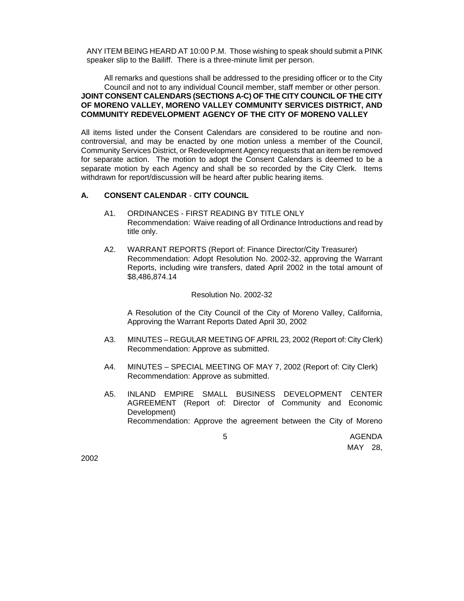ANY ITEM BEING HEARD AT 10:00 P.M. Those wishing to speak should submit a PINK speaker slip to the Bailiff. There is a three-minute limit per person.

All remarks and questions shall be addressed to the presiding officer or to the City Council and not to any individual Council member, staff member or other person. **JOINT CONSENT CALENDARS (SECTIONS A-C) OF THE CITY COUNCIL OF THE CITY OF MORENO VALLEY, MORENO VALLEY COMMUNITY SERVICES DISTRICT, AND COMMUNITY REDEVELOPMENT AGENCY OF THE CITY OF MORENO VALLEY**

All items listed under the Consent Calendars are considered to be routine and noncontroversial, and may be enacted by one motion unless a member of the Council, Community Services District, or Redevelopment Agency requests that an item be removed for separate action. The motion to adopt the Consent Calendars is deemed to be a separate motion by each Agency and shall be so recorded by the City Clerk. Items withdrawn for report/discussion will be heard after public hearing items.

### **A. CONSENT CALENDAR** - **CITY COUNCIL**

- A1. ORDINANCES FIRST READING BY TITLE ONLY Recommendation: Waive reading of all Ordinance Introductions and read by title only.
- A2. WARRANT REPORTS (Report of: Finance Director/City Treasurer) Recommendation: Adopt Resolution No. 2002-32, approving the Warrant Reports, including wire transfers, dated April 2002 in the total amount of \$8,486,874.14

### Resolution No. 2002-32

A Resolution of the City Council of the City of Moreno Valley, California, Approving the Warrant Reports Dated April 30, 2002

- A3. MINUTES REGULAR MEETING OF APRIL 23, 2002 (Report of: City Clerk) Recommendation: Approve as submitted.
- A4. MINUTES SPECIAL MEETING OF MAY 7, 2002 (Report of: City Clerk) Recommendation: Approve as submitted.
- A5. INLAND EMPIRE SMALL BUSINESS DEVELOPMENT CENTER AGREEMENT (Report of: Director of Community and Economic Development) Recommendation: Approve the agreement between the City of Moreno

the contract of the contract of the contract of the contract of the contract of the contract of the contract of the contract of the contract of the contract of the contract of the contract of the contract of the contract o MAY 28,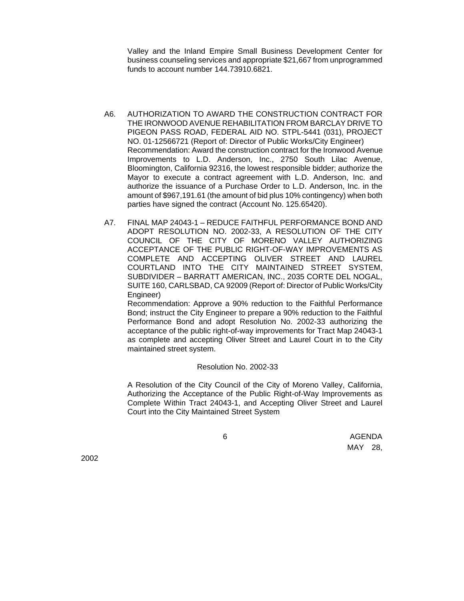Valley and the Inland Empire Small Business Development Center for business counseling services and appropriate \$21,667 from unprogrammed funds to account number 144.73910.6821.

- A6. AUTHORIZATION TO AWARD THE CONSTRUCTION CONTRACT FOR THE IRONWOOD AVENUE REHABILITATION FROM BARCLAY DRIVE TO PIGEON PASS ROAD, FEDERAL AID NO. STPL-5441 (031), PROJECT NO. 01-12566721 (Report of: Director of Public Works/City Engineer) Recommendation: Award the construction contract for the Ironwood Avenue Improvements to L.D. Anderson, Inc., 2750 South Lilac Avenue, Bloomington, California 92316, the lowest responsible bidder; authorize the Mayor to execute a contract agreement with L.D. Anderson, Inc. and authorize the issuance of a Purchase Order to L.D. Anderson, Inc. in the amount of \$967,191.61 (the amount of bid plus 10% contingency) when both parties have signed the contract (Account No. 125.65420).
- A7. FINAL MAP 24043-1 REDUCE FAITHFUL PERFORMANCE BOND AND ADOPT RESOLUTION NO. 2002-33, A RESOLUTION OF THE CITY COUNCIL OF THE CITY OF MORENO VALLEY AUTHORIZING ACCEPTANCE OF THE PUBLIC RIGHT-OF-WAY IMPROVEMENTS AS COMPLETE AND ACCEPTING OLIVER STREET AND LAUREL COURTLAND INTO THE CITY MAINTAINED STREET SYSTEM, SUBDIVIDER – BARRATT AMERICAN, INC., 2035 CORTE DEL NOGAL, SUITE 160, CARLSBAD, CA 92009 (Report of: Director of Public Works/City Engineer)

Recommendation: Approve a 90% reduction to the Faithful Performance Bond; instruct the City Engineer to prepare a 90% reduction to the Faithful Performance Bond and adopt Resolution No. 2002-33 authorizing the acceptance of the public right-of-way improvements for Tract Map 24043-1 as complete and accepting Oliver Street and Laurel Court in to the City maintained street system.

#### Resolution No. 2002-33

A Resolution of the City Council of the City of Moreno Valley, California, Authorizing the Acceptance of the Public Right-of-Way Improvements as Complete Within Tract 24043-1, and Accepting Oliver Street and Laurel Court into the City Maintained Street System

de la construcción de la construcción de la construcción de la construcción de la construcción de la construcc MAY 28,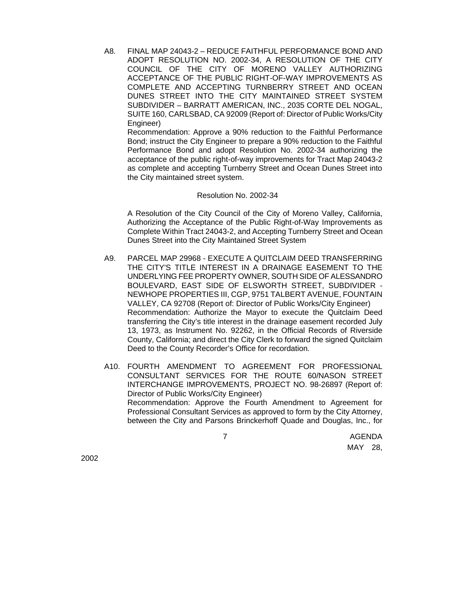A8. FINAL MAP 24043-2 – REDUCE FAITHFUL PERFORMANCE BOND AND ADOPT RESOLUTION NO. 2002-34, A RESOLUTION OF THE CITY COUNCIL OF THE CITY OF MORENO VALLEY AUTHORIZING ACCEPTANCE OF THE PUBLIC RIGHT-OF-WAY IMPROVEMENTS AS COMPLETE AND ACCEPTING TURNBERRY STREET AND OCEAN DUNES STREET INTO THE CITY MAINTAINED STREET SYSTEM SUBDIVIDER – BARRATT AMERICAN, INC., 2035 CORTE DEL NOGAL, SUITE 160, CARLSBAD, CA 92009 (Report of: Director of Public Works/City Engineer)

Recommendation: Approve a 90% reduction to the Faithful Performance Bond; instruct the City Engineer to prepare a 90% reduction to the Faithful Performance Bond and adopt Resolution No. 2002-34 authorizing the acceptance of the public right-of-way improvements for Tract Map 24043-2 as complete and accepting Turnberry Street and Ocean Dunes Street into the City maintained street system.

#### Resolution No. 2002-34

A Resolution of the City Council of the City of Moreno Valley, California, Authorizing the Acceptance of the Public Right-of-Way Improvements as Complete Within Tract 24043-2, and Accepting Turnberry Street and Ocean Dunes Street into the City Maintained Street System

- A9. PARCEL MAP 29968 EXECUTE A QUITCLAIM DEED TRANSFERRING THE CITY'S TITLE INTEREST IN A DRAINAGE EASEMENT TO THE UNDERLYING FEE PROPERTY OWNER, SOUTH SIDE OF ALESSANDRO BOULEVARD, EAST SIDE OF ELSWORTH STREET, SUBDIVIDER - NEWHOPE PROPERTIES III, CGP, 9751 TALBERT AVENUE, FOUNTAIN VALLEY, CA 92708 (Report of: Director of Public Works/City Engineer) Recommendation: Authorize the Mayor to execute the Quitclaim Deed transferring the City's title interest in the drainage easement recorded July 13, 1973, as Instrument No. 92262, in the Official Records of Riverside County, California; and direct the City Clerk to forward the signed Quitclaim Deed to the County Recorder's Office for recordation.
- A10. FOURTH AMENDMENT TO AGREEMENT FOR PROFESSIONAL CONSULTANT SERVICES FOR THE ROUTE 60/NASON STREET INTERCHANGE IMPROVEMENTS, PROJECT NO. 98-26897 (Report of: Director of Public Works/City Engineer) Recommendation: Approve the Fourth Amendment to Agreement for Professional Consultant Services as approved to form by the City Attorney, between the City and Parsons Brinckerhoff Quade and Douglas, Inc., for

 7 AGENDA MAY 28,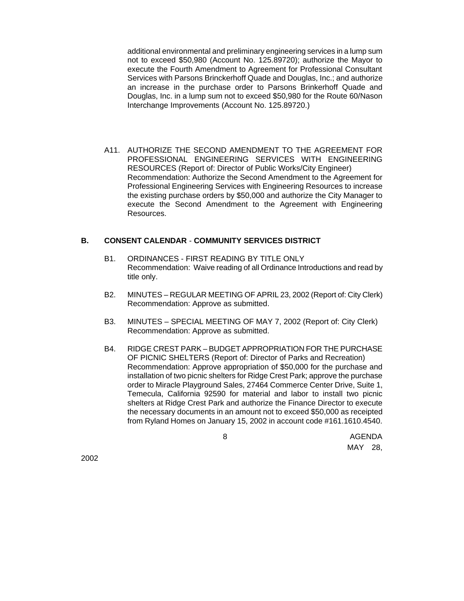additional environmental and preliminary engineering services in a lump sum not to exceed \$50,980 (Account No. 125.89720); authorize the Mayor to execute the Fourth Amendment to Agreement for Professional Consultant Services with Parsons Brinckerhoff Quade and Douglas, Inc.; and authorize an increase in the purchase order to Parsons Brinkerhoff Quade and Douglas, Inc. in a lump sum not to exceed \$50,980 for the Route 60/Nason Interchange Improvements (Account No. 125.89720.)

A11. AUTHORIZE THE SECOND AMENDMENT TO THE AGREEMENT FOR PROFESSIONAL ENGINEERING SERVICES WITH ENGINEERING RESOURCES (Report of: Director of Public Works/City Engineer) Recommendation: Authorize the Second Amendment to the Agreement for Professional Engineering Services with Engineering Resources to increase the existing purchase orders by \$50,000 and authorize the City Manager to execute the Second Amendment to the Agreement with Engineering Resources.

# **B. CONSENT CALENDAR** - **COMMUNITY SERVICES DISTRICT**

- B1. ORDINANCES FIRST READING BY TITLE ONLY Recommendation: Waive reading of all Ordinance Introductions and read by title only.
- B2. MINUTES REGULAR MEETING OF APRIL 23, 2002 (Report of: City Clerk) Recommendation: Approve as submitted.
- B3. MINUTES SPECIAL MEETING OF MAY 7, 2002 (Report of: City Clerk) Recommendation: Approve as submitted.
- B4. RIDGE CREST PARK BUDGET APPROPRIATION FOR THE PURCHASE OF PICNIC SHELTERS (Report of: Director of Parks and Recreation) Recommendation: Approve appropriation of \$50,000 for the purchase and installation of two picnic shelters for Ridge Crest Park; approve the purchase order to Miracle Playground Sales, 27464 Commerce Center Drive, Suite 1, Temecula, California 92590 for material and labor to install two picnic shelters at Ridge Crest Park and authorize the Finance Director to execute the necessary documents in an amount not to exceed \$50,000 as receipted from Ryland Homes on January 15, 2002 in account code #161.1610.4540.

enter and the state of the state of the state of the state of the state of the state of the state of the state of the state of the state of the state of the state of the state of the state of the state of the state of the MAY 28,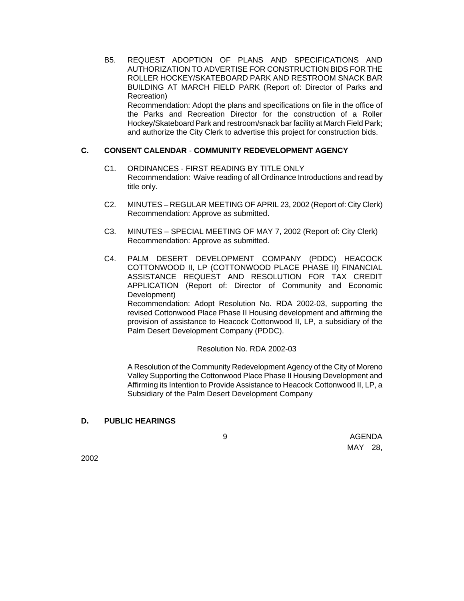B5. REQUEST ADOPTION OF PLANS AND SPECIFICATIONS AND AUTHORIZATION TO ADVERTISE FOR CONSTRUCTION BIDS FOR THE ROLLER HOCKEY/SKATEBOARD PARK AND RESTROOM SNACK BAR BUILDING AT MARCH FIELD PARK (Report of: Director of Parks and Recreation)

Recommendation: Adopt the plans and specifications on file in the office of the Parks and Recreation Director for the construction of a Roller Hockey/Skateboard Park and restroom/snack bar facility at March Field Park; and authorize the City Clerk to advertise this project for construction bids.

# **C. CONSENT CALENDAR** - **COMMUNITY REDEVELOPMENT AGENCY**

- C1. ORDINANCES FIRST READING BY TITLE ONLY Recommendation: Waive reading of all Ordinance Introductions and read by title only.
- C2. MINUTES REGULAR MEETING OF APRIL 23, 2002 (Report of: City Clerk) Recommendation: Approve as submitted.
- C3. MINUTES SPECIAL MEETING OF MAY 7, 2002 (Report of: City Clerk) Recommendation: Approve as submitted.
- C4. PALM DESERT DEVELOPMENT COMPANY (PDDC) HEACOCK COTTONWOOD II, LP (COTTONWOOD PLACE PHASE II) FINANCIAL ASSISTANCE REQUEST AND RESOLUTION FOR TAX CREDIT APPLICATION (Report of: Director of Community and Economic Development) Recommendation: Adopt Resolution No. RDA 2002-03, supporting the revised Cottonwood Place Phase II Housing development and affirming the provision of assistance to Heacock Cottonwood II, LP, a subsidiary of the Palm Desert Development Company (PDDC).

### Resolution No. RDA 2002-03

A Resolution of the Community Redevelopment Agency of the City of Moreno Valley Supporting the Cottonwood Place Phase II Housing Development and Affirming its Intention to Provide Assistance to Heacock Cottonwood II, LP, a Subsidiary of the Palm Desert Development Company

# **D. PUBLIC HEARINGS**

enter and the second services of the services of the services of the services of the services of the services o MAY 28,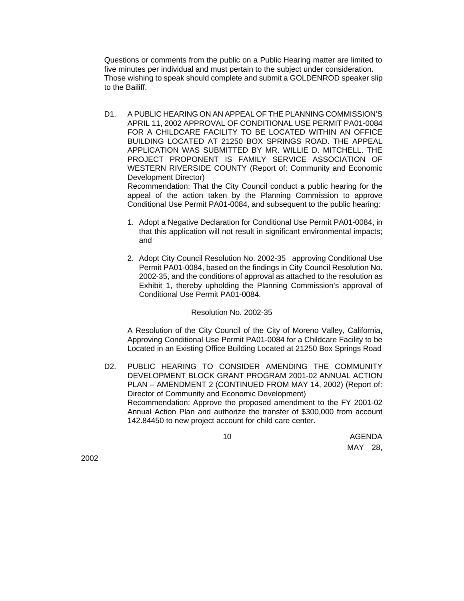Questions or comments from the public on a Public Hearing matter are limited to five minutes per individual and must pertain to the subject under consideration. Those wishing to speak should complete and submit a GOLDENROD speaker slip to the Bailiff.

D1. A PUBLIC HEARING ON AN APPEAL OF THE PLANNING COMMISSION'S APRIL 11, 2002 APPROVAL OF CONDITIONAL USE PERMIT PA01-0084 FOR A CHILDCARE FACILITY TO BE LOCATED WITHIN AN OFFICE BUILDING LOCATED AT 21250 BOX SPRINGS ROAD. THE APPEAL APPLICATION WAS SUBMITTED BY MR. WILLIE D. MITCHELL. THE PROJECT PROPONENT IS FAMILY SERVICE ASSOCIATION OF WESTERN RIVERSIDE COUNTY (Report of: Community and Economic Development Director) Recommendation: That the City Council conduct a public hearing for the

appeal of the action taken by the Planning Commission to approve Conditional Use Permit PA01-0084, and subsequent to the public hearing:

- 1. Adopt a Negative Declaration for Conditional Use Permit PA01-0084, in that this application will not result in significant environmental impacts; and
- 2. Adopt City Council Resolution No. 2002-35 approving Conditional Use Permit PA01-0084, based on the findings in City Council Resolution No. 2002-35, and the conditions of approval as attached to the resolution as Exhibit 1, thereby upholding the Planning Commission's approval of Conditional Use Permit PA01-0084.

### Resolution No. 2002-35

A Resolution of the City Council of the City of Moreno Valley, California, Approving Conditional Use Permit PA01-0084 for a Childcare Facility to be Located in an Existing Office Building Located at 21250 Box Springs Road

D2. PUBLIC HEARING TO CONSIDER AMENDING THE COMMUNITY DEVELOPMENT BLOCK GRANT PROGRAM 2001-02 ANNUAL ACTION PLAN – AMENDMENT 2 (CONTINUED FROM MAY 14, 2002) (Report of: Director of Community and Economic Development) Recommendation: Approve the proposed amendment to the FY 2001-02 Annual Action Plan and authorize the transfer of \$300,000 from account 142.84450 to new project account for child care center.

the control of the control of the control of the control of the control of the control of the control of the c MAY 28,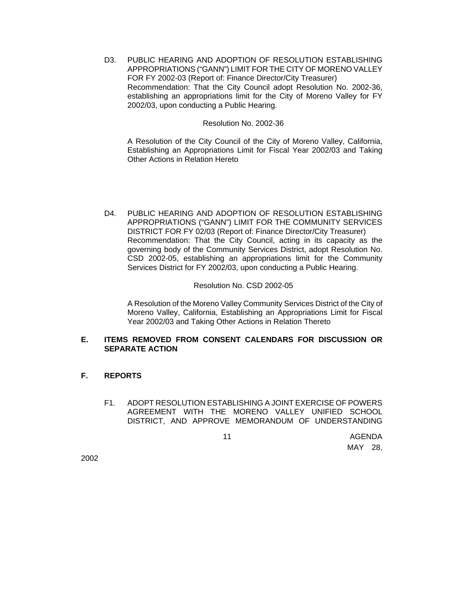D3. PUBLIC HEARING AND ADOPTION OF RESOLUTION ESTABLISHING APPROPRIATIONS ("GANN") LIMIT FOR THE CITY OF MORENO VALLEY FOR FY 2002-03 (Report of: Finance Director/City Treasurer) Recommendation: That the City Council adopt Resolution No. 2002-36, establishing an appropriations limit for the City of Moreno Valley for FY 2002/03, upon conducting a Public Hearing.

### Resolution No. 2002-36

A Resolution of the City Council of the City of Moreno Valley, California, Establishing an Appropriations Limit for Fiscal Year 2002/03 and Taking Other Actions in Relation Hereto

D4. PUBLIC HEARING AND ADOPTION OF RESOLUTION ESTABLISHING APPROPRIATIONS ("GANN") LIMIT FOR THE COMMUNITY SERVICES DISTRICT FOR FY 02/03 (Report of: Finance Director/City Treasurer) Recommendation: That the City Council, acting in its capacity as the governing body of the Community Services District, adopt Resolution No. CSD 2002-05, establishing an appropriations limit for the Community Services District for FY 2002/03, upon conducting a Public Hearing.

### Resolution No. CSD 2002-05

A Resolution of the Moreno Valley Community Services District of the City of Moreno Valley, California, Establishing an Appropriations Limit for Fiscal Year 2002/03 and Taking Other Actions in Relation Thereto

# **E. ITEMS REMOVED FROM CONSENT CALENDARS FOR DISCUSSION OR SEPARATE ACTION**

# **F. REPORTS**

F1. ADOPT RESOLUTION ESTABLISHING A JOINT EXERCISE OF POWERS AGREEMENT WITH THE MORENO VALLEY UNIFIED SCHOOL DISTRICT, AND APPROVE MEMORANDUM OF UNDERSTANDING

the control of the control of the control of the control of the control of the control of the control of the c MAY 28,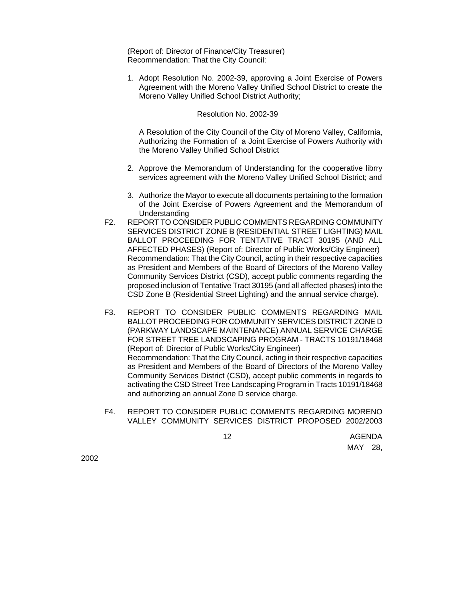(Report of: Director of Finance/City Treasurer) Recommendation: That the City Council:

1. Adopt Resolution No. 2002-39, approving a Joint Exercise of Powers Agreement with the Moreno Valley Unified School District to create the Moreno Valley Unified School District Authority;

#### Resolution No. 2002-39

A Resolution of the City Council of the City of Moreno Valley, California, Authorizing the Formation of a Joint Exercise of Powers Authority with the Moreno Valley Unified School District

- 2. Approve the Memorandum of Understanding for the cooperative librry services agreement with the Moreno Valley Unified School District; and
- 3. Authorize the Mayor to execute all documents pertaining to the formation of the Joint Exercise of Powers Agreement and the Memorandum of Understanding
- F2. REPORT TO CONSIDER PUBLIC COMMENTS REGARDING COMMUNITY SERVICES DISTRICT ZONE B (RESIDENTIAL STREET LIGHTING) MAIL BALLOT PROCEEDING FOR TENTATIVE TRACT 30195 (AND ALL AFFECTED PHASES) (Report of: Director of Public Works/City Engineer) Recommendation: That the City Council, acting in their respective capacities as President and Members of the Board of Directors of the Moreno Valley Community Services District (CSD), accept public comments regarding the proposed inclusion of Tentative Tract 30195 (and all affected phases) into the CSD Zone B (Residential Street Lighting) and the annual service charge).
- F3. REPORT TO CONSIDER PUBLIC COMMENTS REGARDING MAIL BALLOT PROCEEDING FOR COMMUNITY SERVICES DISTRICT ZONE D (PARKWAY LANDSCAPE MAINTENANCE) ANNUAL SERVICE CHARGE FOR STREET TREE LANDSCAPING PROGRAM - TRACTS 10191/18468 (Report of: Director of Public Works/City Engineer) Recommendation: That the City Council, acting in their respective capacities as President and Members of the Board of Directors of the Moreno Valley Community Services District (CSD), accept public comments in regards to activating the CSD Street Tree Landscaping Program in Tracts 10191/18468 and authorizing an annual Zone D service charge.
- F4. REPORT TO CONSIDER PUBLIC COMMENTS REGARDING MORENO VALLEY COMMUNITY SERVICES DISTRICT PROPOSED 2002/2003

the control of the control of the control of the control of the control of the control of the control of the c MAY 28,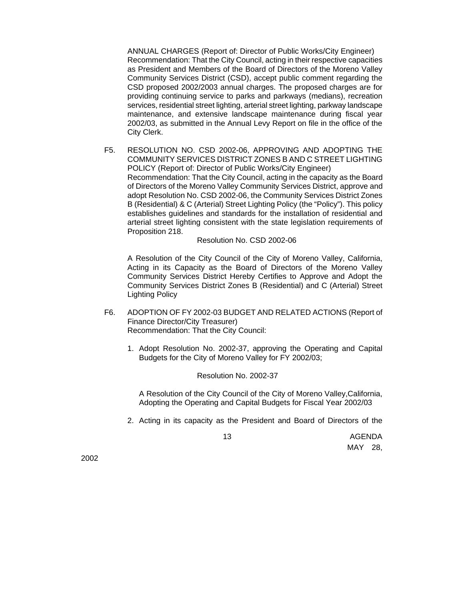ANNUAL CHARGES (Report of: Director of Public Works/City Engineer) Recommendation: That the City Council, acting in their respective capacities as President and Members of the Board of Directors of the Moreno Valley Community Services District (CSD), accept public comment regarding the CSD proposed 2002/2003 annual charges. The proposed charges are for providing continuing service to parks and parkways (medians), recreation services, residential street lighting, arterial street lighting, parkway landscape maintenance, and extensive landscape maintenance during fiscal year 2002/03, as submitted in the Annual Levy Report on file in the office of the City Clerk.

F5. RESOLUTION NO. CSD 2002-06, APPROVING AND ADOPTING THE COMMUNITY SERVICES DISTRICT ZONES B AND C STREET LIGHTING POLICY (Report of: Director of Public Works/City Engineer) Recommendation: That the City Council, acting in the capacity as the Board of Directors of the Moreno Valley Community Services District, approve and adopt Resolution No. CSD 2002-06, the Community Services District Zones B (Residential) & C (Arterial) Street Lighting Policy (the "Policy"). This policy establishes guidelines and standards for the installation of residential and arterial street lighting consistent with the state legislation requirements of Proposition 218.

Resolution No. CSD 2002-06

A Resolution of the City Council of the City of Moreno Valley, California, Acting in its Capacity as the Board of Directors of the Moreno Valley Community Services District Hereby Certifies to Approve and Adopt the Community Services District Zones B (Residential) and C (Arterial) Street Lighting Policy

- F6. ADOPTION OF FY 2002-03 BUDGET AND RELATED ACTIONS (Report of Finance Director/City Treasurer) Recommendation: That the City Council:
	- 1. Adopt Resolution No. 2002-37, approving the Operating and Capital Budgets for the City of Moreno Valley for FY 2002/03;

Resolution No. 2002-37

A Resolution of the City Council of the City of Moreno Valley,California, Adopting the Operating and Capital Budgets for Fiscal Year 2002/03

2. Acting in its capacity as the President and Board of Directors of the

the control of the control of the control of the control of the control of the control of the control of the c MAY 28,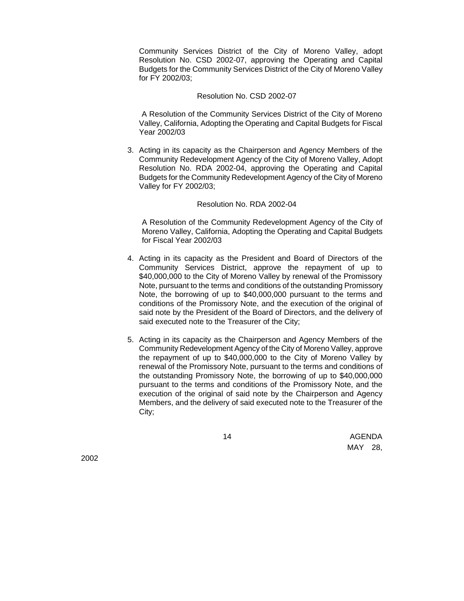Community Services District of the City of Moreno Valley, adopt Resolution No. CSD 2002-07, approving the Operating and Capital Budgets for the Community Services District of the City of Moreno Valley for FY 2002/03;

### Resolution No. CSD 2002-07

 A Resolution of the Community Services District of the City of Moreno Valley, California, Adopting the Operating and Capital Budgets for Fiscal Year 2002/03

3. Acting in its capacity as the Chairperson and Agency Members of the Community Redevelopment Agency of the City of Moreno Valley, Adopt Resolution No. RDA 2002-04, approving the Operating and Capital Budgets for the Community Redevelopment Agency of the City of Moreno Valley for FY 2002/03;

#### Resolution No. RDA 2002-04

A Resolution of the Community Redevelopment Agency of the City of Moreno Valley, California, Adopting the Operating and Capital Budgets for Fiscal Year 2002/03

- 4. Acting in its capacity as the President and Board of Directors of the Community Services District, approve the repayment of up to \$40,000,000 to the City of Moreno Valley by renewal of the Promissory Note, pursuant to the terms and conditions of the outstanding Promissory Note, the borrowing of up to \$40,000,000 pursuant to the terms and conditions of the Promissory Note, and the execution of the original of said note by the President of the Board of Directors, and the delivery of said executed note to the Treasurer of the City;
- 5. Acting in its capacity as the Chairperson and Agency Members of the Community Redevelopment Agency of the City of Moreno Valley, approve the repayment of up to \$40,000,000 to the City of Moreno Valley by renewal of the Promissory Note, pursuant to the terms and conditions of the outstanding Promissory Note, the borrowing of up to \$40,000,000 pursuant to the terms and conditions of the Promissory Note, and the execution of the original of said note by the Chairperson and Agency Members, and the delivery of said executed note to the Treasurer of the City;

the control of the control of the control of the control of the control of the control of the control of the c MAY 28,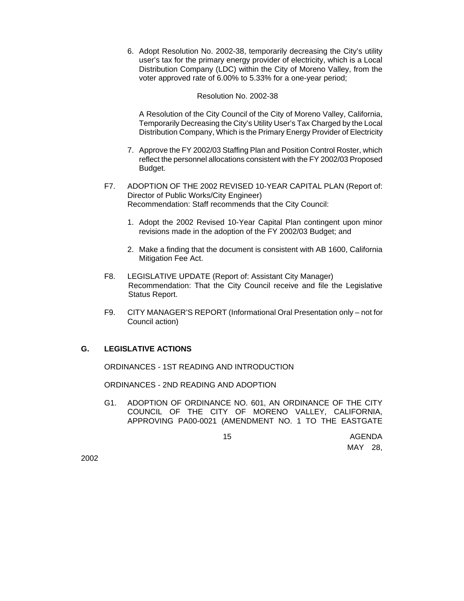6. Adopt Resolution No. 2002-38, temporarily decreasing the City's utility user's tax for the primary energy provider of electricity, which is a Local Distribution Company (LDC) within the City of Moreno Valley, from the voter approved rate of 6.00% to 5.33% for a one-year period;

## Resolution No. 2002-38

A Resolution of the City Council of the City of Moreno Valley, California, Temporarily Decreasing the City's Utility User's Tax Charged by the Local Distribution Company, Which is the Primary Energy Provider of Electricity

- 7. Approve the FY 2002/03 Staffing Plan and Position Control Roster, which reflect the personnel allocations consistent with the FY 2002/03 Proposed Budget.
- F7. ADOPTION OF THE 2002 REVISED 10-YEAR CAPITAL PLAN (Report of: Director of Public Works/City Engineer) Recommendation: Staff recommends that the City Council:
	- 1. Adopt the 2002 Revised 10-Year Capital Plan contingent upon minor revisions made in the adoption of the FY 2002/03 Budget; and
	- 2. Make a finding that the document is consistent with AB 1600, California Mitigation Fee Act.
- F8. LEGISLATIVE UPDATE (Report of: Assistant City Manager) Recommendation: That the City Council receive and file the Legislative Status Report.
- F9. CITY MANAGER'S REPORT (Informational Oral Presentation only not for Council action)

# **G. LEGISLATIVE ACTIONS**

ORDINANCES - 1ST READING AND INTRODUCTION

ORDINANCES - 2ND READING AND ADOPTION

G1. ADOPTION OF ORDINANCE NO. 601, AN ORDINANCE OF THE CITY COUNCIL OF THE CITY OF MORENO VALLEY, CALIFORNIA, APPROVING PA00-0021 (AMENDMENT NO. 1 TO THE EASTGATE

the control of the control of the control of the control of the control of the control of the control of the c MAY 28,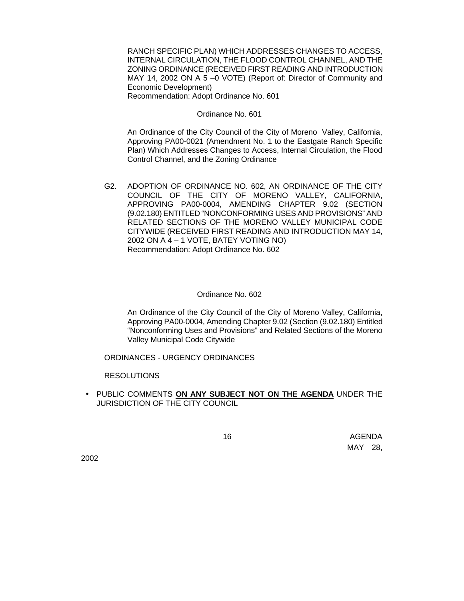RANCH SPECIFIC PLAN) WHICH ADDRESSES CHANGES TO ACCESS, INTERNAL CIRCULATION, THE FLOOD CONTROL CHANNEL, AND THE ZONING ORDINANCE (RECEIVED FIRST READING AND INTRODUCTION MAY 14, 2002 ON A 5 –0 VOTE) (Report of: Director of Community and Economic Development) Recommendation: Adopt Ordinance No. 601

Ordinance No. 601

An Ordinance of the City Council of the City of Moreno Valley, California, Approving PA00-0021 (Amendment No. 1 to the Eastgate Ranch Specific Plan) Which Addresses Changes to Access, Internal Circulation, the Flood Control Channel, and the Zoning Ordinance

G2. ADOPTION OF ORDINANCE NO. 602, AN ORDINANCE OF THE CITY COUNCIL OF THE CITY OF MORENO VALLEY, CALIFORNIA, APPROVING PA00-0004, AMENDING CHAPTER 9.02 (SECTION (9.02.180) ENTITLED "NONCONFORMING USES AND PROVISIONS" AND RELATED SECTIONS OF THE MORENO VALLEY MUNICIPAL CODE CITYWIDE (RECEIVED FIRST READING AND INTRODUCTION MAY 14, 2002 ON A 4 – 1 VOTE, BATEY VOTING NO) Recommendation: Adopt Ordinance No. 602

# Ordinance No. 602

An Ordinance of the City Council of the City of Moreno Valley, California, Approving PA00-0004, Amending Chapter 9.02 (Section (9.02.180) Entitled "Nonconforming Uses and Provisions" and Related Sections of the Moreno Valley Municipal Code Citywide

ORDINANCES - URGENCY ORDINANCES

RESOLUTIONS

• PUBLIC COMMENTS **ON ANY SUBJECT NOT ON THE AGENDA** UNDER THE JURISDICTION OF THE CITY COUNCIL

the control of the control of the control of the control of the control of the control of the control of the c MAY 28,